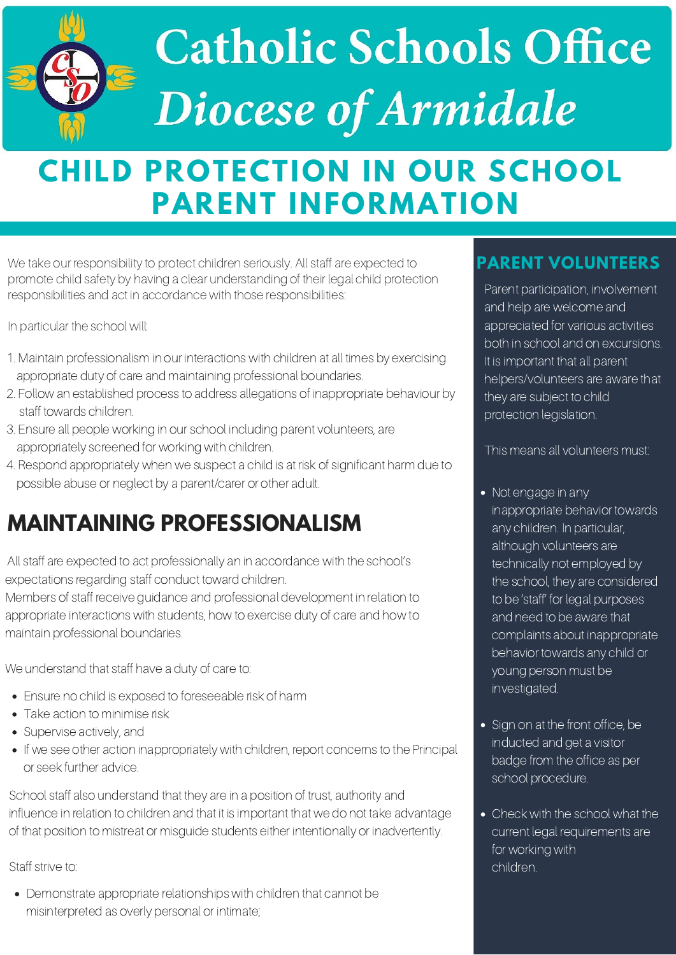# Catholic Schools Office Diocese of Armidale

## **CHILD PROTECTION IN OUR SCHOOL PARENT INFORMATION**

We take our responsibility to protect children seriously. All staff are expected to promote child safety by having a clear understanding of their legal child protection responsibilities and act in accordance with those responsibilities:

In particular the school will:

#### **PARENT VOLUNTEERS**

### **MAINTAINING PROFESSIONALISM**

- 1. Maintain professionalism in our interactions with children at all times by exercising appropriate duty of care and maintaining professional boundaries.
- 2. Follow an established process to address allegations of inappropriate behaviour by staff towards children.
- 3. Ensure all people working in our school including parent volunteers, are appropriately screened for working with children.
- 4. Respond appropriately when we suspect a child is at risk of significant harm due to possible abuse or neglect by a parent/carer or other adult.

- Sign on at the front office, be inducted and get a visitor badge from the office as per school procedure.
- Check with the school what the current legal requirements are for working with children.
- Ensure no child is exposed to foreseeable risk of harm
- Take action to minimise risk
- Supervise actively, and
- If we see other action inappropriately with children, report concerns to the Principal or seek further advice.

All staff are expected to act professionally an in accordance with the school's expectations regarding staff conduct toward children.

Members of staff receive guidance and professional development in relation to appropriate interactions with students, how to exercise duty of care and how to maintain professional boundaries.

We understand that staff have a duty of care to:

inappropriate behavior towards any children. In particular, although volunteers are technically not employed by the school, they are considered to be 'staff' for legal purposes and need to be aware that complaints about inappropriate behavior towards any child or young person must be investigated.

Parent participation, involvement and help are welcome and appreciated for various activities both in school and on excursions. It is important that all parent helpers/volunteers are aware that they are subject to child protection legislation.

This means all volunteers must:

#### • Not engage in any

School staff also understand that they are in a position of trust, authority and influence in relation to children and that it is important that we do not take advantage of that position to mistreat or misguide students either intentionally or inadvertently.

#### Staff strive to:

Demonstrate appropriate relationships with children that cannot be misinterpreted as overly personal or intimate;